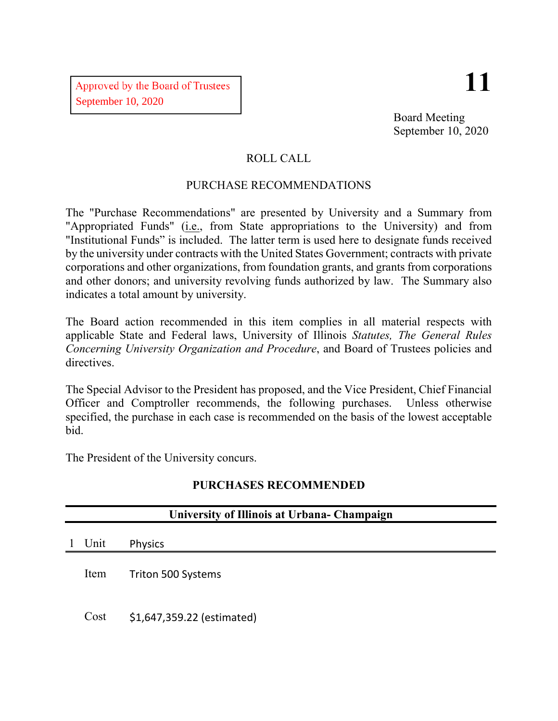# **11**

Board Meeting September 10, 2020

## ROLL CALL

## PURCHASE RECOMMENDATIONS

The "Purchase Recommendations" are presented by University and a Summary from "Appropriated Funds" (i.e., from State appropriations to the University) and from "Institutional Funds" is included. The latter term is used here to designate funds received by the university under contracts with the United States Government; contracts with private corporations and other organizations, from foundation grants, and grants from corporations and other donors; and university revolving funds authorized by law. The Summary also indicates a total amount by university.

The Board action recommended in this item complies in all material respects with applicable State and Federal laws, University of Illinois *Statutes, The General Rules Concerning University Organization and Procedure*, and Board of Trustees policies and directives.

The Special Advisor to the President has proposed, and the Vice President, Chief Financial Officer and Comptroller recommends, the following purchases. Unless otherwise specified, the purchase in each case is recommended on the basis of the lowest acceptable bid.

The President of the University concurs.

# **PURCHASES RECOMMENDED**

| University of Illinois at Urbana-Champaign |      |                            |  |  |  |
|--------------------------------------------|------|----------------------------|--|--|--|
| $\mathbf{1}$                               | Unit | <b>Physics</b>             |  |  |  |
|                                            | Item | Triton 500 Systems         |  |  |  |
|                                            | Cost | \$1,647,359.22 (estimated) |  |  |  |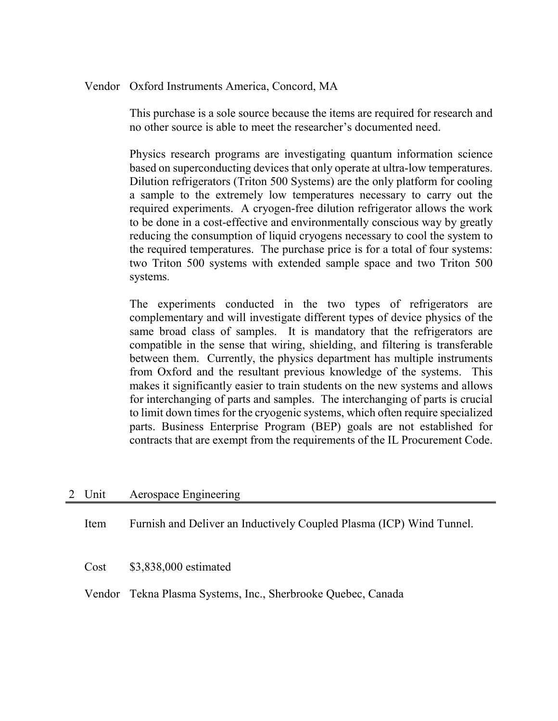#### Vendor Oxford Instruments America, Concord, MA

This purchase is a sole source because the items are required for research and no other source is able to meet the researcher's documented need.

Physics research programs are investigating quantum information science based on superconducting devices that only operate at ultra-low temperatures. Dilution refrigerators (Triton 500 Systems) are the only platform for cooling a sample to the extremely low temperatures necessary to carry out the required experiments. A cryogen-free dilution refrigerator allows the work to be done in a cost-effective and environmentally conscious way by greatly reducing the consumption of liquid cryogens necessary to cool the system to the required temperatures. The purchase price is for a total of four systems: two Triton 500 systems with extended sample space and two Triton 500 systems.

The experiments conducted in the two types of refrigerators are complementary and will investigate different types of device physics of the same broad class of samples. It is mandatory that the refrigerators are compatible in the sense that wiring, shielding, and filtering is transferable between them. Currently, the physics department has multiple instruments from Oxford and the resultant previous knowledge of the systems. This makes it significantly easier to train students on the new systems and allows for interchanging of parts and samples. The interchanging of parts is crucial to limit down times for the cryogenic systems, which often require specialized parts. Business Enterprise Program (BEP) goals are not established for contracts that are exempt from the requirements of the IL Procurement Code.

#### 2 Unit Aerospace Engineering

Item Furnish and Deliver an Inductively Coupled Plasma (ICP) Wind Tunnel.

Cost \$3,838,000 estimated

Vendor Tekna Plasma Systems, Inc., Sherbrooke Quebec, Canada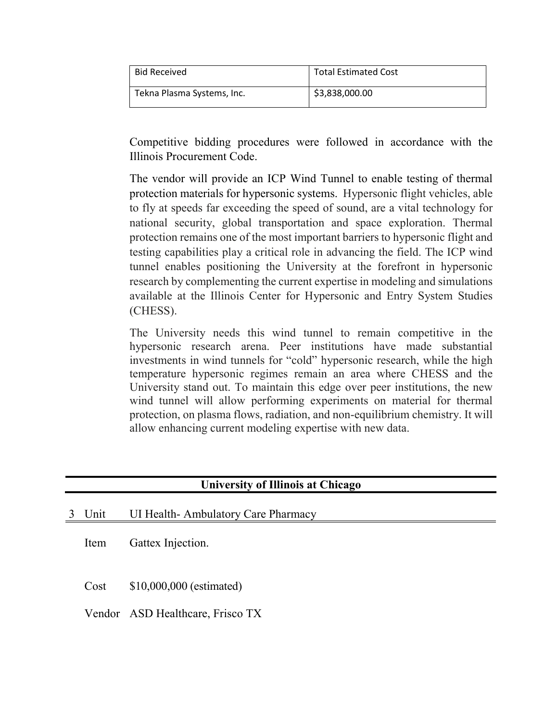| <b>Bid Received</b>        | <b>Total Estimated Cost</b> |
|----------------------------|-----------------------------|
| Tekna Plasma Systems, Inc. | \$3,838,000.00              |

Competitive bidding procedures were followed in accordance with the Illinois Procurement Code.

The vendor will provide an ICP Wind Tunnel to enable testing of thermal protection materials for hypersonic systems. Hypersonic flight vehicles, able to fly at speeds far exceeding the speed of sound, are a vital technology for national security, global transportation and space exploration. Thermal protection remains one of the most important barriers to hypersonic flight and testing capabilities play a critical role in advancing the field. The ICP wind tunnel enables positioning the University at the forefront in hypersonic research by complementing the current expertise in modeling and simulations available at the Illinois Center for Hypersonic and Entry System Studies (CHESS).

The University needs this wind tunnel to remain competitive in the hypersonic research arena. Peer institutions have made substantial investments in wind tunnels for "cold" hypersonic research, while the high temperature hypersonic regimes remain an area where CHESS and the University stand out. To maintain this edge over peer institutions, the new wind tunnel will allow performing experiments on material for thermal protection, on plasma flows, radiation, and non-equilibrium chemistry. It will allow enhancing current modeling expertise with new data.

## **University of Illinois at Chicago**

Item Gattex Injection.

Cost \$10,000,000 (estimated)

Vendor ASD Healthcare, Frisco TX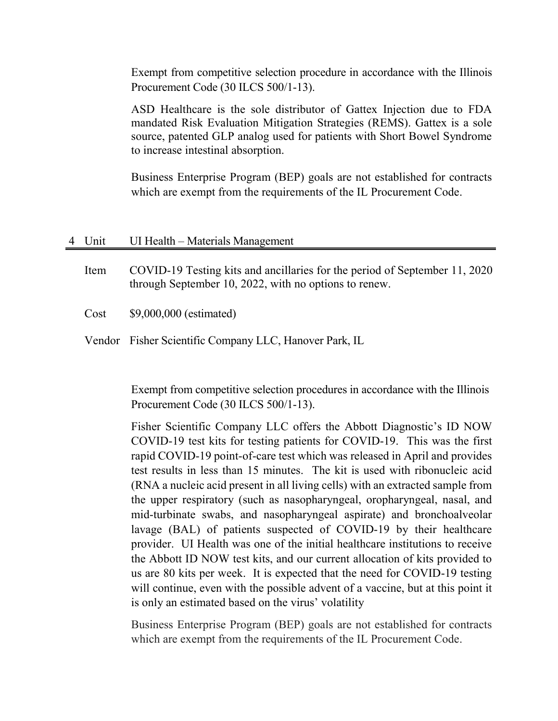Exempt from competitive selection procedure in accordance with the Illinois Procurement Code (30 ILCS 500/1-13).

ASD Healthcare is the sole distributor of Gattex Injection due to FDA mandated Risk Evaluation Mitigation Strategies (REMS). Gattex is a sole source, patented GLP analog used for patients with Short Bowel Syndrome to increase intestinal absorption.

Business Enterprise Program (BEP) goals are not established for contracts which are exempt from the requirements of the IL Procurement Code.

| 4 Unit | UI Health – Materials Management                                                                                                    |
|--------|-------------------------------------------------------------------------------------------------------------------------------------|
| Item   | COVID-19 Testing kits and ancillaries for the period of September 11, 2020<br>through September 10, 2022, with no options to renew. |
| Cost   | \$9,000,000 (estimated)                                                                                                             |

Vendor Fisher Scientific Company LLC, Hanover Park, IL

Exempt from competitive selection procedures in accordance with the Illinois Procurement Code (30 ILCS 500/1-13).

Fisher Scientific Company LLC offers the Abbott Diagnostic's ID NOW COVID-19 test kits for testing patients for COVID-19. This was the first rapid COVID-19 point-of-care test which was released in April and provides test results in less than 15 minutes. The kit is used with ribonucleic acid (RNA a nucleic acid present in all living cells) with an extracted sample from the upper respiratory (such as nasopharyngeal, oropharyngeal, nasal, and mid-turbinate swabs, and nasopharyngeal aspirate) and bronchoalveolar lavage (BAL) of patients suspected of COVID-19 by their healthcare provider. UI Health was one of the initial healthcare institutions to receive the Abbott ID NOW test kits, and our current allocation of kits provided to us are 80 kits per week. It is expected that the need for COVID-19 testing will continue, even with the possible advent of a vaccine, but at this point it is only an estimated based on the virus' volatility

Business Enterprise Program (BEP) goals are not established for contracts which are exempt from the requirements of the IL Procurement Code.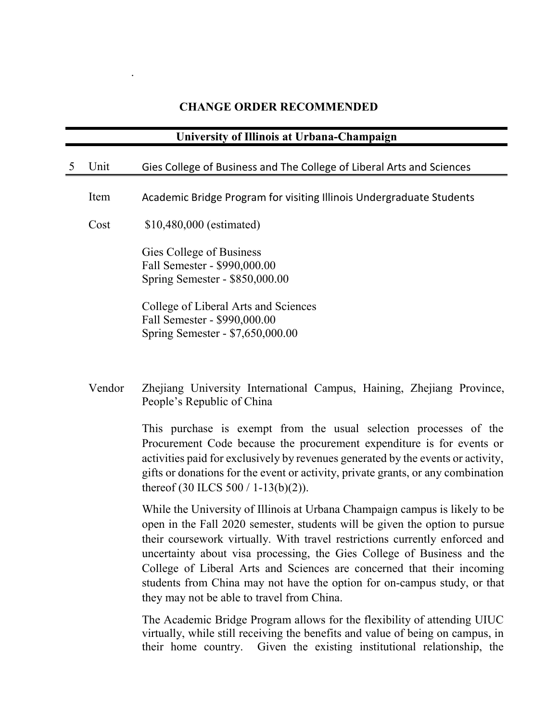# **CHANGE ORDER RECOMMENDED**

.

|   | University of Illinois at Urbana-Champaign |                                                                                                                                                                                                                                                                                                                                                                                                                                                                                                                          |  |  |  |
|---|--------------------------------------------|--------------------------------------------------------------------------------------------------------------------------------------------------------------------------------------------------------------------------------------------------------------------------------------------------------------------------------------------------------------------------------------------------------------------------------------------------------------------------------------------------------------------------|--|--|--|
| 5 | Unit                                       | Gies College of Business and The College of Liberal Arts and Sciences                                                                                                                                                                                                                                                                                                                                                                                                                                                    |  |  |  |
|   | Item                                       | Academic Bridge Program for visiting Illinois Undergraduate Students                                                                                                                                                                                                                                                                                                                                                                                                                                                     |  |  |  |
|   | Cost                                       | \$10,480,000 (estimated)                                                                                                                                                                                                                                                                                                                                                                                                                                                                                                 |  |  |  |
|   |                                            | Gies College of Business<br>Fall Semester - \$990,000.00<br>Spring Semester - \$850,000.00                                                                                                                                                                                                                                                                                                                                                                                                                               |  |  |  |
|   |                                            | College of Liberal Arts and Sciences<br>Fall Semester - \$990,000.00<br>Spring Semester - \$7,650,000.00                                                                                                                                                                                                                                                                                                                                                                                                                 |  |  |  |
|   | Vendor                                     | Zhejiang University International Campus, Haining, Zhejiang Province,<br>People's Republic of China                                                                                                                                                                                                                                                                                                                                                                                                                      |  |  |  |
|   |                                            | This purchase is exempt from the usual selection processes of the<br>Procurement Code because the procurement expenditure is for events or<br>activities paid for exclusively by revenues generated by the events or activity,<br>gifts or donations for the event or activity, private grants, or any combination<br>thereof $(30$ ILCS $500 / 1-13(b)(2)$ ).                                                                                                                                                           |  |  |  |
|   |                                            | While the University of Illinois at Urbana Champaign campus is likely to be<br>open in the Fall 2020 semester, students will be given the option to pursue<br>their coursework virtually. With travel restrictions currently enforced and<br>uncertainty about visa processing, the Gies College of Business and the<br>College of Liberal Arts and Sciences are concerned that their incoming<br>students from China may not have the option for on-campus study, or that<br>they may not be able to travel from China. |  |  |  |
|   |                                            | The Academic Bridge Program allows for the flexibility of attending UIUC<br>virtually, while still receiving the benefits and value of being on campus, in                                                                                                                                                                                                                                                                                                                                                               |  |  |  |

their home country. Given the existing institutional relationship, the